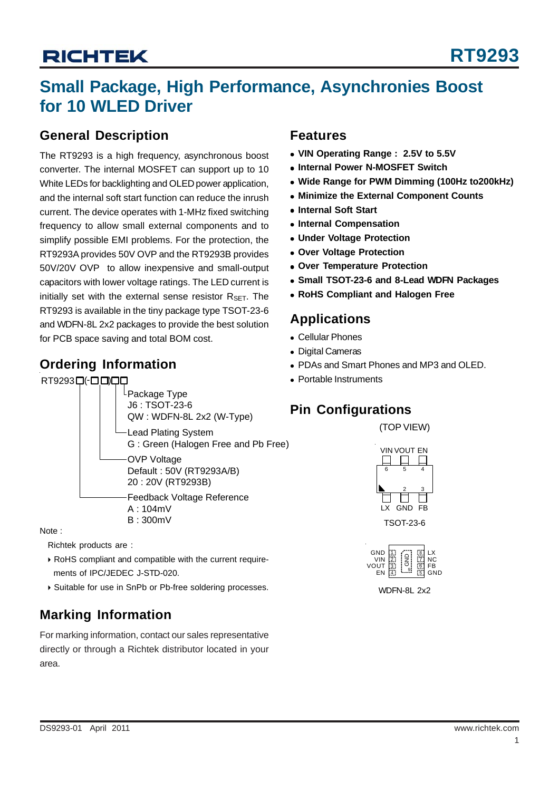# **Small Package, High Performance, Asynchronies Boost for 10 WLED Driver**

### **General Description**

The RT9293 is a high frequency, asynchronous boost converter. The internal MOSFET can support up to 10 White LEDs for backlighting and OLED power application, and the internal soft start function can reduce the inrush current. The device operates with 1-MHz fixed switching frequency to allow small external components and to simplify possible EMI problems. For the protection, the RT9293A provides 50V OVP and the RT9293B provides 50V/20V OVP to allow inexpensive and small-output capacitors with lower voltage ratings. The LED current is initially set with the external sense resistor  $R_{\text{SET}}$ . The RT9293 is available in the tiny package type TSOT-23-6 and WDFN-8L 2x2 packages to provide the best solution for PCB space saving and total BOM cost.

### **Ordering Information**

#### RT9293ロ(-ロロ)



Note :

Richtek products are :

- ▶ RoHS compliant and compatible with the current requirements of IPC/JEDEC J-STD-020.
- ▶ Suitable for use in SnPb or Pb-free soldering processes.

## **Marking Information**

For marking information, contact our sales representative directly or through a Richtek distributor located in your area.

## **Features**

- <sup>z</sup> **VIN Operating Range : 2.5V to 5.5V**
- **Internal Power N-MOSFET Switch**
- <sup>z</sup> **Wide Range for PWM Dimming (100Hz to200kHz)**
- **Minimize the External Component Counts**
- $\bullet$  **Internal Soft Start**
- **Internal Compensation**
- $\bullet$  **Under Voltage Protection**
- **Over Voltage Protection**
- **Over Temperature Protection**
- <sup>z</sup> **Small TSOT-23-6 and 8-Lead WDFN Packages**
- **RoHS Compliant and Halogen Free**

## **Applications**

- Cellular Phones
- Digital Cameras
- PDAs and Smart Phones and MP3 and OLED.
- Portable Instruments

## **Pin Configurations**







WDFN-8L 2x2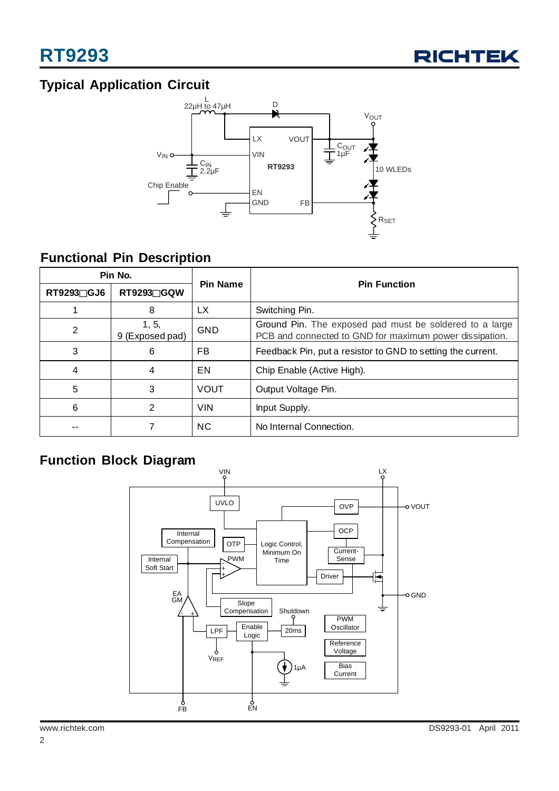

## **Typical Application Circuit**



## **Functional Pin Description**

| Pin No.    |                          |                 |                                                                                                                    |  |
|------------|--------------------------|-----------------|--------------------------------------------------------------------------------------------------------------------|--|
| RT9293□GJ6 | RT9293∏GQW               | <b>Pin Name</b> | <b>Pin Function</b>                                                                                                |  |
|            | 8                        | LX.             | Switching Pin.                                                                                                     |  |
| 2          | 1, 5,<br>9 (Exposed pad) | <b>GND</b>      | Ground Pin. The exposed pad must be soldered to a large<br>PCB and connected to GND for maximum power dissipation. |  |
| 3          | 6                        | FB.             | Feedback Pin, put a resistor to GND to setting the current.                                                        |  |
| 4          | 4                        | EN              | Chip Enable (Active High).                                                                                         |  |
| 5          | 3                        | <b>VOUT</b>     | Output Voltage Pin.                                                                                                |  |
| 6          | $\mathfrak{p}$           | <b>VIN</b>      | Input Supply.                                                                                                      |  |
|            |                          | <b>NC</b>       | No Internal Connection.                                                                                            |  |

## **Function Block Diagram**

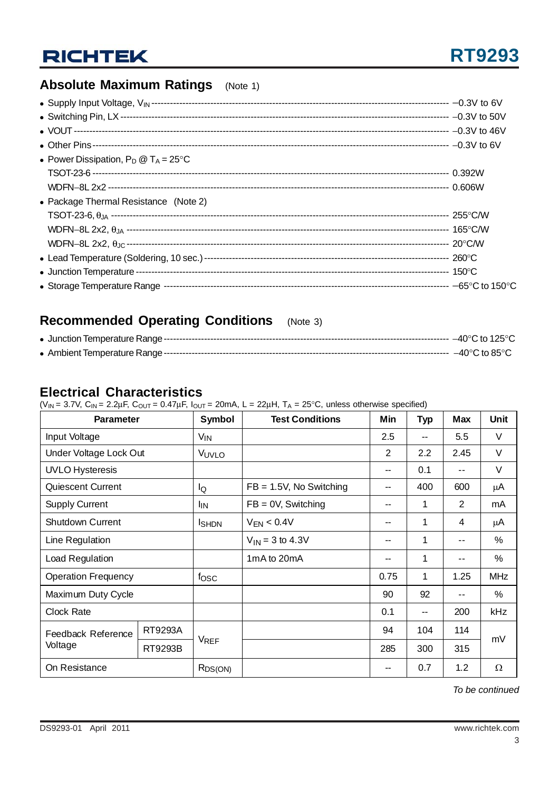## **Absolute Maximum Ratings** (Note 1)

| • Power Dissipation, $P_D @ T_A = 25^{\circ}C$ |  |
|------------------------------------------------|--|
|                                                |  |
|                                                |  |
| • Package Thermal Resistance (Note 2)          |  |
|                                                |  |
|                                                |  |
|                                                |  |
|                                                |  |
|                                                |  |
|                                                |  |

### **Recommended Operating Conditions** (Note 3)

### **Electrical Characteristics**

( $V_{IN}$  = 3.7V,  $C_{IN}$  = 2.2 $\mu$ F,  $C_{OUT}$  = 0.47 $\mu$ F,  $I_{OUT}$  = 20mA, L = 22 $\mu$ H, T<sub>A</sub> = 25°C, unless otherwise specified)

| <b>Parameter</b>              |         | Symbol                | <b>Test Conditions</b>     | Min            | <b>Typ</b> | <b>Max</b>     | Unit       |
|-------------------------------|---------|-----------------------|----------------------------|----------------|------------|----------------|------------|
| Input Voltage                 |         | <b>V<sub>IN</sub></b> |                            | 2.5            | --         | 5.5            | V          |
| Under Voltage Lock Out        |         | VUVLO                 |                            | $\overline{2}$ | 2.2        | 2.45           | V          |
| <b>UVLO Hysteresis</b>        |         |                       |                            | --             | 0.1        | --             | V          |
| Quiescent Current             |         | lQ                    | $FB = 1.5V$ , No Switching | --             | 400        | 600            | μA         |
| <b>Supply Current</b>         |         | <b>I</b> IN           | $FB = 0V$ , Switching      | --             | 1          | $\overline{2}$ | mA         |
| <b>Shutdown Current</b>       |         | <b>I</b> SHDN         | $V_{EN}$ < 0.4V            | --             | 1          | 4              | μA         |
| Line Regulation               |         |                       | $V_{1N} = 3$ to 4.3V       | --             | 1          | $- -$          | $\%$       |
| Load Regulation               |         |                       | 1mA to 20mA                | --             | 1          | --             | %          |
| <b>Operation Frequency</b>    |         | f <sub>OSC</sub>      |                            | 0.75           | 1          | 1.25           | <b>MHz</b> |
| Maximum Duty Cycle            |         |                       |                            | 90             | 92         |                | %          |
| Clock Rate                    |         |                       |                            | 0.1            | --         | 200            | <b>kHz</b> |
| Feedback Reference<br>Voltage | RT9293A |                       |                            | 94             | 104        | 114            |            |
|                               | RT9293B | <b>VREF</b>           |                            | 285            | 300        | 315            | mV         |
| On Resistance                 |         | R <sub>DS</sub> (ON)  |                            | --             | 0.7        | 1.2            | $\Omega$   |

*To be continued*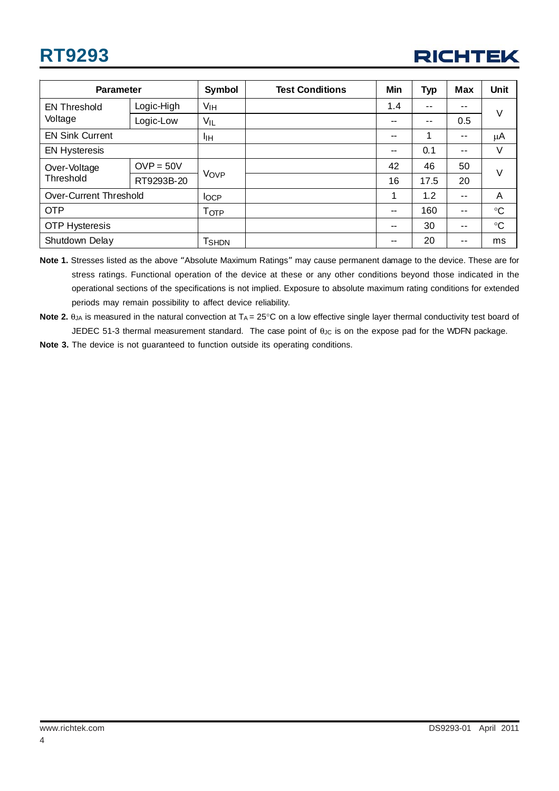# **RT9293**



| <b>Parameter</b>              |             | Symbol            | <b>Test Conditions</b> | Min                      | <b>Typ</b> | Max   | <b>Unit</b>  |  |
|-------------------------------|-------------|-------------------|------------------------|--------------------------|------------|-------|--------------|--|
| <b>EN Threshold</b>           | Logic-High  | VIH               |                        | 1.4                      | --         | --    | V            |  |
| Voltage                       | Logic-Low   | VIL               |                        | --                       | --         | 0.5   |              |  |
| <b>EN Sink Current</b>        |             | IІH               |                        | $-$                      | 4          | --    | μA           |  |
| <b>EN Hysteresis</b>          |             |                   |                        | $-$                      | 0.1        | $ -$  | V            |  |
| Over-Voltage                  | $OVP = 50V$ | Vove              |                        | 42                       | 46         | 50    | $\vee$       |  |
| Threshold                     | RT9293B-20  |                   |                        | 16                       | 17.5       | 20    |              |  |
| <b>Over-Current Threshold</b> |             | <b>IOCP</b>       |                        |                          | 1.2        | --    | A            |  |
| <b>OTP</b>                    |             | T <sub>OTP</sub>  |                        | $\overline{\phantom{m}}$ | 160        | $- -$ | $\mathrm{C}$ |  |
| <b>OTP Hysteresis</b>         |             |                   |                        | --                       | 30         | --    | $\mathrm{C}$ |  |
| Shutdown Delay                |             | T <sub>SHDN</sub> |                        | $-$                      | 20         | --    | ms           |  |

**Note 1.** Stresses listed as the above "Absolute Maximum Ratings" may cause permanent damage to the device. These are for stress ratings. Functional operation of the device at these or any other conditions beyond those indicated in the operational sections of the specifications is not implied. Exposure to absolute maximum rating conditions for extended periods may remain possibility to affect device reliability.

**Note 2.** θ<sub>JA</sub> is measured in the natural convection at T<sub>A</sub> = 25°C on a low effective single layer thermal conductivity test board of JEDEC 51-3 thermal measurement standard. The case point of θ<sub>JC</sub> is on the expose pad for the WDFN package.

**Note 3.** The device is not guaranteed to function outside its operating conditions.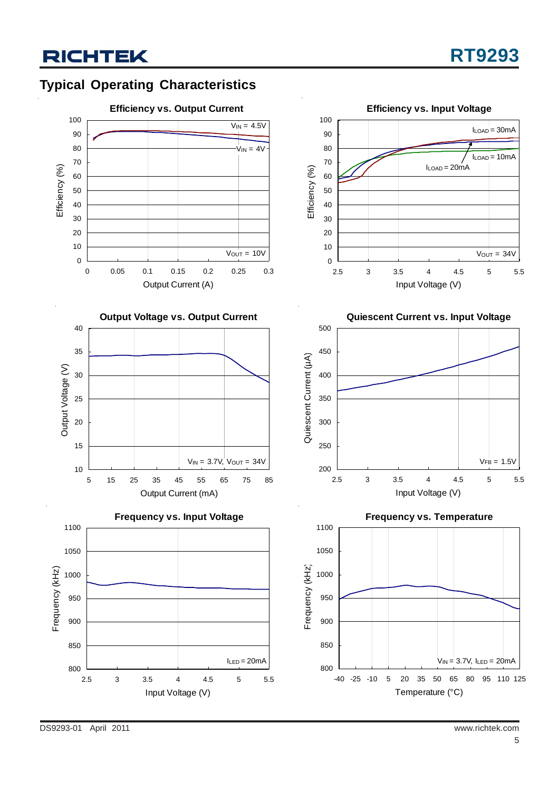## **Typical Operating Characteristics**

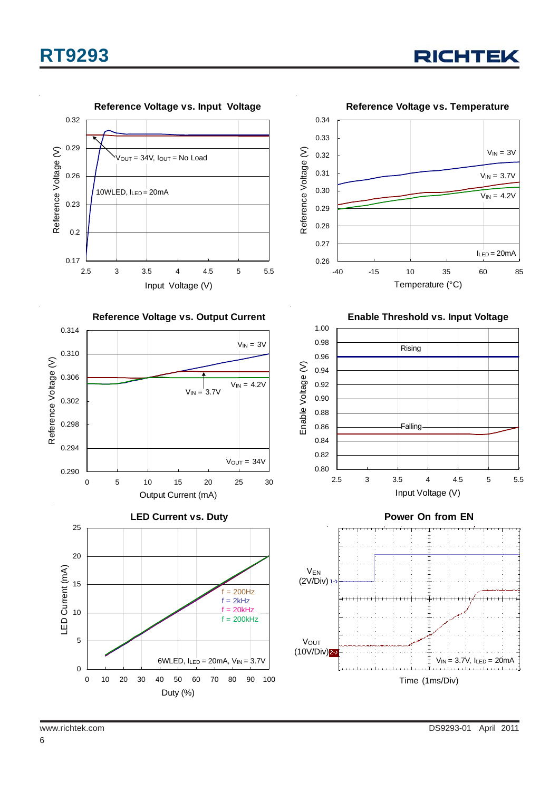# **RT9293**



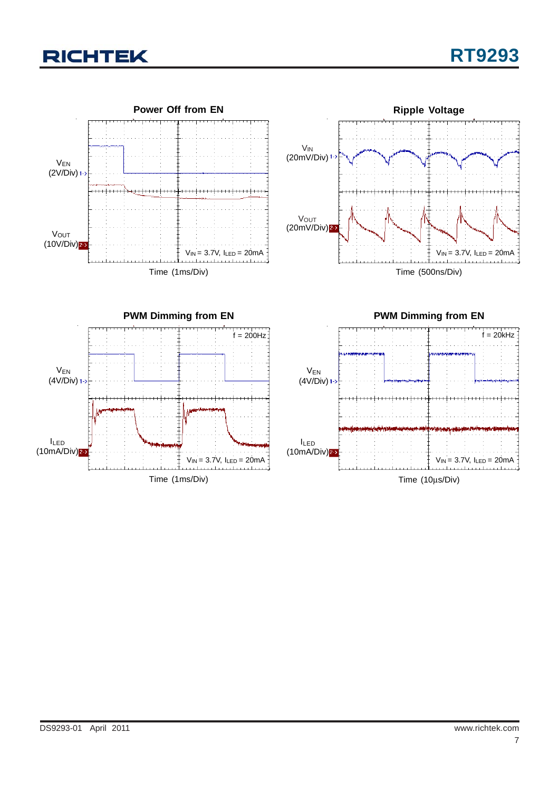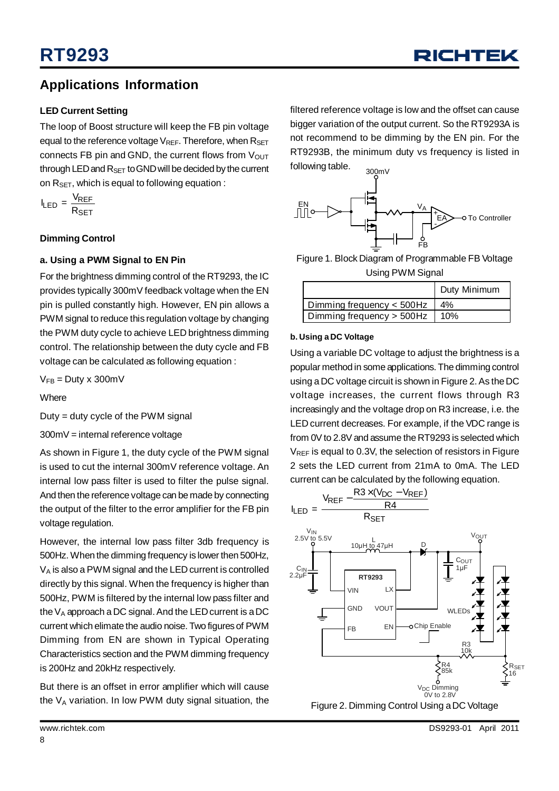### **Applications Information**

#### **LED Current Setting**

The loop of Boost structure will keep the FB pin voltage equal to the reference voltage  $V_{REF}$ . Therefore, when  $R_{SET}$ connects FB pin and GND, the current flows from  $V_{\text{OUT}}$ through LED and  $R_{SET}$  to GND will be decided by the current on  $R_{\text{SET}}$ , which is equal to following equation :

$$
I_{LED} = \frac{V_{REF}}{R_{SET}}
$$

#### **Dimming Control**

#### **a. Using a PWM Signal to EN Pin**

For the brightness dimming control of the RT9293, the IC provides typically 300mV feedback voltage when the EN pin is pulled constantly high. However, EN pin allows a PWM signal to reduce this regulation voltage by changing the PWM duty cycle to achieve LED brightness dimming control. The relationship between the duty cycle and FB voltage can be calculated as following equation :

 $V_{FB} = D$ uty x 300m $V$ 

**Where** 

Duty = duty cycle of the PWM signal

300mV = internal reference voltage

As shown in Figure 1, the duty cycle of the PWM signal is used to cut the internal 300mV reference voltage. An internal low pass filter is used to filter the pulse signal. And then the reference voltage can be made by connecting the output of the filter to the error amplifier for the FB pin voltage regulation.

However, the internal low pass filter 3db frequency is 500Hz. When the dimming frequency is lower then 500Hz,  $V_A$  is also a PWM signal and the LED current is controlled directly by this signal. When the frequency is higher than 500Hz, PWM is filtered by the internal low pass filter and the  $V_A$  approach a DC signal. And the LED current is a DC current which elimate the audio noise. Two figures of PWM Dimming from EN are shown in Typical Operating Characteristics section and the PWM dimming frequency is 200Hz and 20kHz respectively.

But there is an offset in error amplifier which will cause the  $V_A$  variation. In low PWM duty signal situation, the

filtered reference voltage is low and the offset can cause bigger variation of the output current. So the RT9293A is not recommend to be dimming by the EN pin. For the RT9293B, the minimum duty vs frequency is listed in following table. 300mV



Figure 1. Block Diagram of Programmable FB Voltage Using PWM Signal

|                           | Duty Minimum |
|---------------------------|--------------|
| Dimming frequency < 500Hz | $4\%$        |
| Dimming frequency > 500Hz | 10%          |

#### **b. Using a DC Voltage**

Using a variable DC voltage to adjust the brightness is a popular method in some applications.The dimming control using a DC voltage circuit is shown in Figure 2.As theDC voltage increases, the current flows through R3 increasingly and the voltage drop on R3 increase, i.e. the LED current decreases. For example, if the VDC range is from 0V to 2.8V and assume the RT9293 is selected which  $V_{REF}$  is equal to 0.3V, the selection of resistors in Figure 2 sets the LED current from 21mA to 0mA. The LED current can be calculated by the following equation.



Figure 2. Dimming Control Using aDC Voltage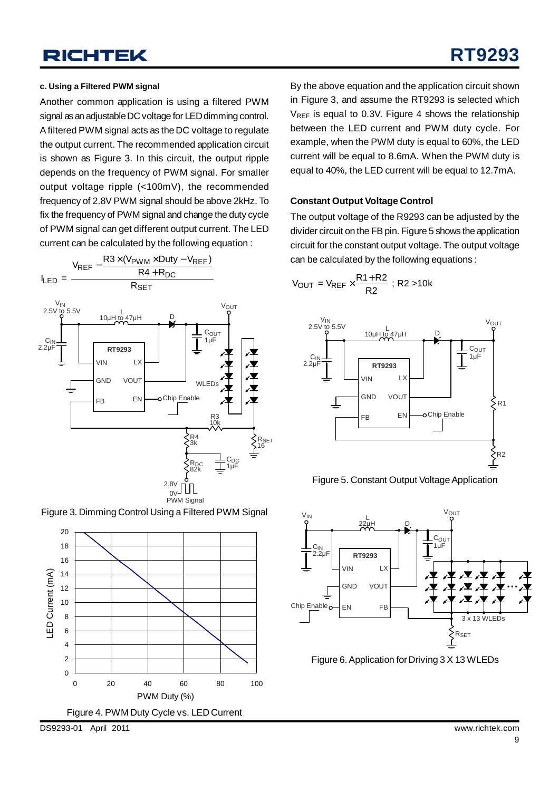#### **c. Using a Filtered PWM signal**

Another common application is using a filtered PWM signal as an adjustable DC voltage for LED dimming control. Afiltered PWM signal acts as the DC voltage to regulate the output current. The recommended application circuit is shown as Figure 3. In this circuit, the output ripple depends on the frequency of PWM signal. For smaller output voltage ripple (<100mV), the recommended frequency of 2.8V PWM signal should be above 2kHz. To fix the frequency of PWM signal and change the duty cycle of PWM signal can get different output current. The LED current can be calculated by the following equation :



Figure 3. Dimming Control Using a Filtered PWM Signal



By the above equation and the application circuit shown in Figure 3, and assume the RT9293 is selected which  $V_{REF}$  is equal to 0.3V. Figure 4 shows the relationship between the LED current and PWM duty cycle. For example, when the PWM duty is equal to 60%, the LED current will be equal to 8.6mA. When the PWM duty is equal to 40%, the LED current will be equal to 12.7mA.

#### **Constant Output Voltage Control**

The output voltage of the R9293 can be adjusted by the divider circuit on the FB pin. Figure 5 shows the application circuit for the constant output voltage. The output voltage can be calculated by the following equations :

$$
V_{OUT} = V_{REF} \times \frac{R1 + R2}{R2} \; ; \; R2 > 10k
$$



Figure 5. Constant Output Voltage Application



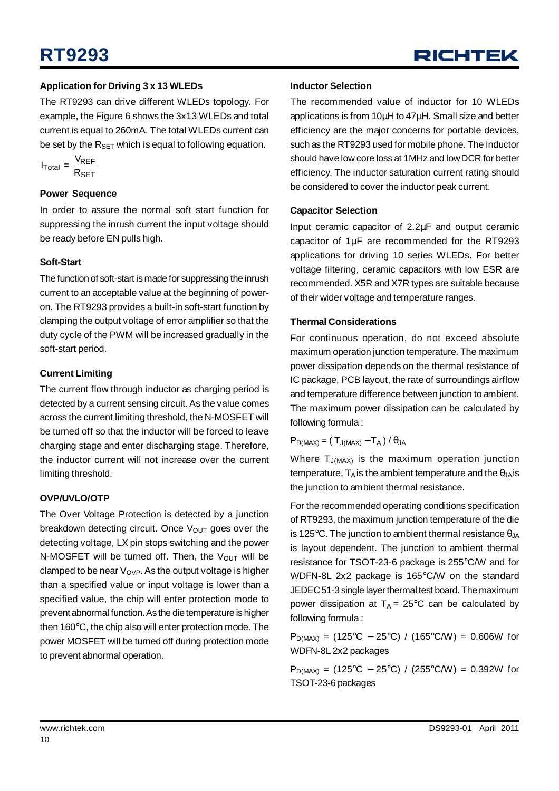#### **Application for Driving 3 x 13 WLEDs**

The RT9293 can drive different WLEDs topology. For example, the Figure 6 shows the 3x13 WLEDs and total current is equal to 260mA. The total WLEDs current can be set by the  $R_{\text{SET}}$  which is equal to following equation.

$$
I_{\text{Total}} = \frac{V_{\text{REF}}}{R_{\text{SET}}}
$$

#### **Power Sequence**

In order to assure the normal soft start function for suppressing the inrush current the input voltage should be ready before EN pulls high.

#### **Soft-Start**

The function of soft-start is made for suppressing the inrush current to an acceptable value at the beginning of poweron. The RT9293 provides a built-in soft-start function by clamping the output voltage of error amplifier so that the duty cycle of the PWM will be increased gradually in the soft-start period.

#### **Current Limiting**

The current flow through inductor as charging period is detected by a current sensing circuit. As the value comes across the current limiting threshold, the N-MOSFET will be turned off so that the inductor will be forced to leave charging stage and enter discharging stage. Therefore, the inductor current will not increase over the current limiting threshold.

#### **OVP/UVLO/OTP**

The Over Voltage Protection is detected by a junction breakdown detecting circuit. Once  $V_{\text{OUT}}$  goes over the detecting voltage, LX pin stops switching and the power N-MOSFET will be turned off. Then, the  $V_{OUT}$  will be clamped to be near  $V_{OVP}$ . As the output voltage is higher than a specified value or input voltage is lower than a specified value, the chip will enter protection mode to prevent abnormal function.As the dietemperature is higher then 160°C, the chip also will enter protection mode. The power MOSFET will be turned off during protection mode to prevent abnormal operation.

#### **Inductor Selection**

The recommended value of inductor for 10 WLEDs applications is from 10μH to 47μH. Small size and better efficiency are the major concerns for portable devices, such as the RT9293 used for mobile phone. The inductor should have low core loss at 1MHz and lowDCR for better efficiency. The inductor saturation current rating should be considered to cover the inductor peak current.

#### **Capacitor Selection**

Input ceramic capacitor of 2.2μF and output ceramic capacitor of 1μF are recommended for the RT9293 applications for driving 10 series WLEDs. For better voltage filtering, ceramic capacitors with low ESR are recommended. X5R and X7R types are suitable because of their wider voltage and temperature ranges.

#### **Thermal Considerations**

For continuous operation, do not exceed absolute maximum operation junction temperature. The maximum power dissipation depends on the thermal resistance of IC package, PCB layout, the rate of surroundings airflow and temperature difference between junction to ambient. The maximum power dissipation can be calculated by following formula :

#### $P_{D(MAX)} = (T_{J(MAX)} - T_A) / \theta_{JA}$

Where  $T_{J(MAX)}$  is the maximum operation junction temperature,  $T_A$  is the ambient temperature and the  $\theta_{JA}$  is the junction to ambient thermal resistance.

For the recommended operating conditions specification of RT9293, the maximum junction temperature of the die is 125°C. The junction to ambient thermal resistance  $\theta_{JA}$ is layout dependent. The junction to ambient thermal resistance for TSOT-23-6 package is 255°C/W and for WDFN-8L 2x2 package is 165°C/W on the standard JEDEC51-3 single layerthermal test board. The maximum power dissipation at  $T_A = 25^{\circ}$ C can be calculated by following formula :

 $P_{D(MAX)} = (125\degree C - 25\degree C) / (165\degree C/W) = 0.606W$  for WDFN-8L 2x2 packages

 $P_{D(MAX)} = (125\degree C - 25\degree C) / (255\degree C/W) = 0.392W$  for TSOT-23-6 packages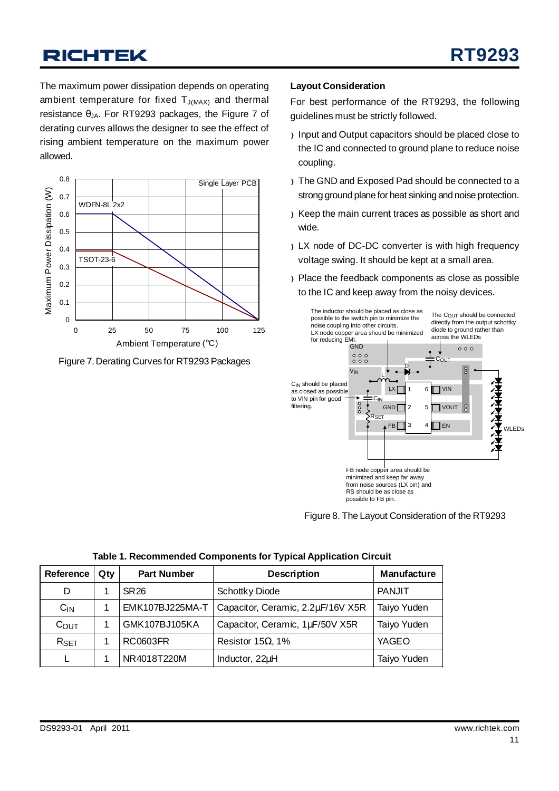The maximum power dissipation depends on operating ambient temperature for fixed  $T_{J(MAX)}$  and thermal resistance  $θ_{JA}$ . For RT9293 packages, the Figure 7 of derating curves allows the designer to see the effect of rising ambient temperature on the maximum power allowed.



Figure 7. Derating Curves for RT9293 Packages

#### **Layout Consideration**

For best performance of the RT9293, the following guidelines must be strictly followed.

- } Input and Output capacitors should be placed close to the IC and connected to ground plane to reduce noise coupling.
- } The GND and Exposed Pad should be connected to a strong ground plane for heat sinking and noise protection.
- } Keep the main current traces as possible as short and wide.
- } LX node of DC-DC converter is with high frequency voltage swing. It should be kept at a small area.
- } Place the feedback components as close as possible to the IC and keep away from the noisy devices.



Figure 8. The Layout Consideration of the RT9293

| Reference | Qty | <b>Part Number</b> | <b>Description</b>                | <b>Manufacture</b> |  |
|-----------|-----|--------------------|-----------------------------------|--------------------|--|
| D         |     | SR 26              | <b>Schottky Diode</b>             | PANJIT             |  |
| $C_{IN}$  |     | EMK107BJ225MA-T    | Capacitor, Ceramic, 2.2µF/16V X5R | Taiyo Yuden        |  |
| COUT      |     | GMK107BJ105KA      | Capacitor, Ceramic, 1µF/50V X5R   | Taiyo Yuden        |  |
| $R_{SET}$ |     | <b>RC0603FR</b>    | Resistor 15 $\Omega$ , 1%         | YAGEO              |  |
|           |     | NR4018T220M        | Inductor, 22µH                    | Taiyo Yuden        |  |

#### **Table 1. Recommended Components for Typical Application Circuit**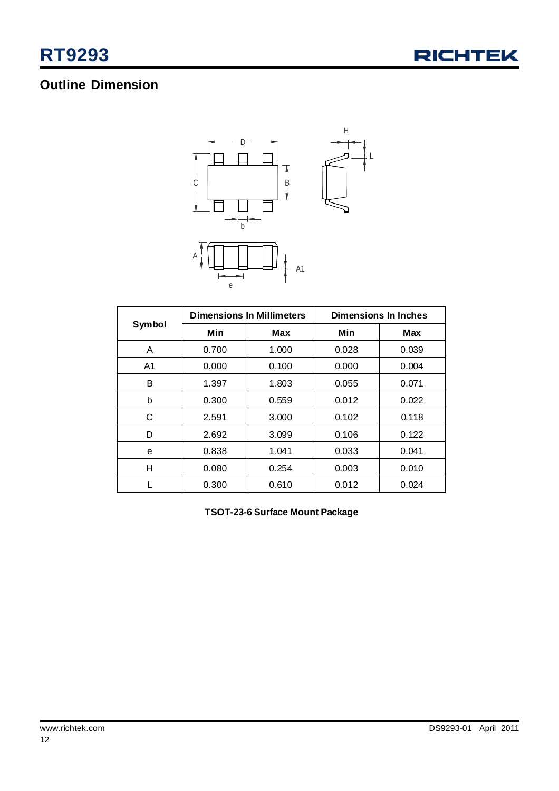

## **Outline Dimension**



|                |       | <b>Dimensions In Millimeters</b> | <b>Dimensions In Inches</b> |            |  |
|----------------|-------|----------------------------------|-----------------------------|------------|--|
| Symbol         | Min   | Max                              | Min                         | <b>Max</b> |  |
| A              | 0.700 | 1.000                            | 0.028                       | 0.039      |  |
| A <sub>1</sub> | 0.000 | 0.100                            | 0.000                       | 0.004      |  |
| B              | 1.397 | 1.803                            | 0.055                       | 0.071      |  |
| b              | 0.300 | 0.559                            | 0.012                       | 0.022      |  |
| C              | 2.591 | 3.000                            | 0.102                       | 0.118      |  |
| D              | 2.692 | 3.099                            | 0.106                       | 0.122      |  |
| е              | 0.838 | 1.041                            | 0.033                       | 0.041      |  |
| н              | 0.080 | 0.254                            | 0.003                       | 0.010      |  |
|                | 0.300 | 0.610                            | 0.012                       | 0.024      |  |

**TSOT-23-6 Surface Mount Package**